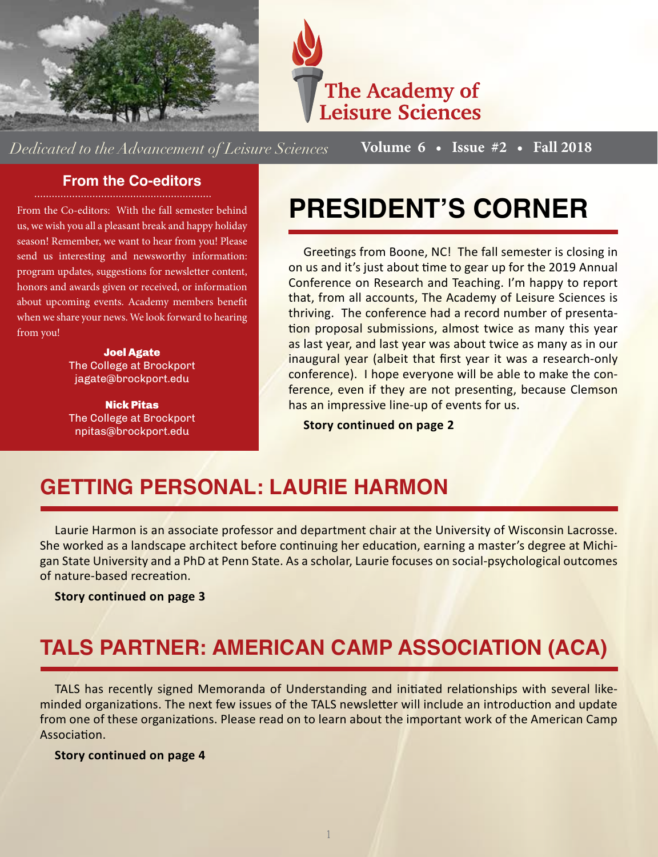



*Dedicated to the Advancement of Leisure Sciences* **Volume 6 • Issue #2 • Fall 2018**

#### **From the Co-editors**

From the Co-editors: With the fall semester behind us, we wish you all a pleasant break and happy holiday season! Remember, we want to hear from you! Please

send us interesting and newsworthy information: program updates, suggestions for newsletter content, honors and awards given or received, or information about upcoming events. Academy members benefit when we share your news. We look forward to hearing from you!

> Joel Agate The College at Brockport jagate@brockport.edu

Nick Pitas The College at Brockport npitas@brockport.edu

# **PRESIDENT'S CORNER**

Greetings from Boone, NC! The fall semester is closing in on us and it's just about time to gear up for the 2019 Annual Conference on Research and Teaching. I'm happy to report that, from all accounts, The Academy of Leisure Sciences is thriving. The conference had a record number of presentation proposal submissions, almost twice as many this year as last year, and last year was about twice as many as in our inaugural year (albeit that first year it was a research-only conference). I hope everyone will be able to make the conference, even if they are not presenting, because Clemson has an impressive line-up of events for us.

**Story continued on page 2**

## **GETTING PERSONAL: LAURIE HARMON**

Laurie Harmon is an associate professor and department chair at the University of Wisconsin Lacrosse. She worked as a landscape architect before continuing her education, earning a master's degree at Michigan State University and a PhD at Penn State. As a scholar, Laurie focuses on social-psychological outcomes of nature-based recreation.

**Story continued on page 3**

## **TALS PARTNER: AMERICAN CAMP ASSOCIATION (ACA)**

TALS has recently signed Memoranda of Understanding and initiated relationships with several likeminded organizations. The next few issues of the TALS newsletter will include an introduction and update from one of these organizations. Please read on to learn about the important work of the American Camp Association.

**Story continued on page 4**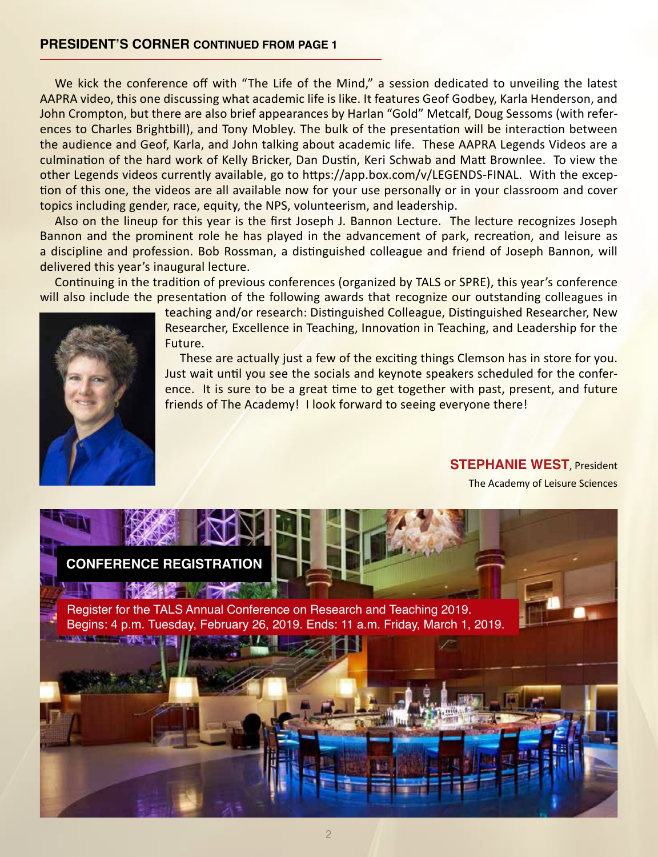We kick the conference off with "The Life of the Mind," a session dedicated to unveiling the latest AAPRA video, this one discussing what academic life is like. It features Geof Godbey, Karla Henderson, and John Crompton, but there are also brief appearances by Harlan "Gold" Metcalf, Doug Sessoms (with references to Charles Brightbill), and Tony Mobley. The bulk of the presentation will be interaction between the audience and Geof, Karla, and John talking about academic life. These AAPRA Legends Videos are a culmination of the hard work of Kelly Bricker, Dan Dustin, Keri Schwab and Matt Brownlee. To view the other Legends videos currently available, go to https://app.box.com/v/LEGENDS-FINAL. With the exception of this one, the videos are all available now for your use personally or in your classroom and cover topics including gender, race, equity, the NPS, volunteerism, and leadership.

Also on the lineup for this year is the first Joseph J. Bannon Lecture. The lecture recognizes Joseph Bannon and the prominent role he has played in the advancement of park, recreation, and leisure as a discipline and profession. Bob Rossman, a distinguished colleague and friend of Joseph Bannon, will delivered this year's inaugural lecture.

Continuing in the tradition of previous conferences (organized by TALS or SPRE), this year's conference will also include the presentation of the following awards that recognize our outstanding colleagues in



teaching and/or research: Distinguished Colleague, Distinguished Researcher, New Researcher, Excellence in Teaching, Innovation in Teaching, and Leadership for the Future.

These are actually just a few of the exciting things Clemson has in store for you. Just wait until you see the socials and keynote speakers scheduled for the conference. It is sure to be a great time to get together with past, present, and future friends of The Academy! I look forward to seeing everyone there!

#### **STEPHANIE WEST**, President

The Academy of Leisure Sciences

#### **CONFERENCE REGISTRATION**

Register for the TALS Annual Conference on Research and Teaching 2019. Begins: 4 p.m. Tuesday, February 26, 2019. Ends: 11 a.m. Friday, March 1, 2019.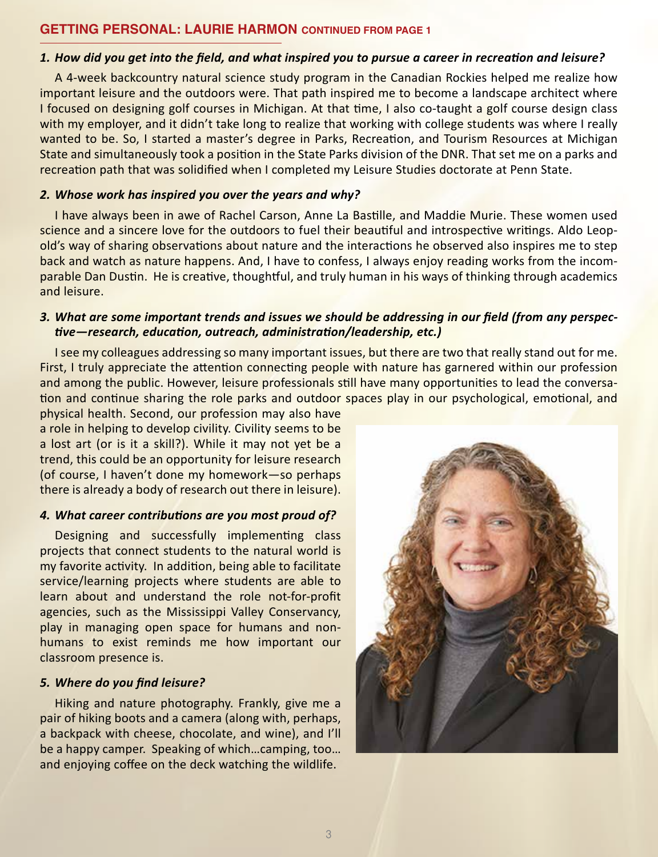#### **GETTING PERSONAL: LAURIE HARMON CONTINUED FROM PAGE 1**

#### 1. How did you get into the field, and what inspired you to pursue a career in recreation and leisure?

A 4-week backcountry natural science study program in the Canadian Rockies helped me realize how important leisure and the outdoors were. That path inspired me to become a landscape architect where I focused on designing golf courses in Michigan. At that time, I also co-taught a golf course design class with my employer, and it didn't take long to realize that working with college students was where I really wanted to be. So, I started a master's degree in Parks, Recreation, and Tourism Resources at Michigan State and simultaneously took a position in the State Parks division of the DNR. That set me on a parks and recreation path that was solidified when I completed my Leisure Studies doctorate at Penn State.

#### *2. Whose work has inspired you over the years and why?*

I have always been in awe of Rachel Carson, Anne La Bastille, and Maddie Murie. These women used science and a sincere love for the outdoors to fuel their beautiful and introspective writings. Aldo Leopold's way of sharing observations about nature and the interactions he observed also inspires me to step back and watch as nature happens. And, I have to confess, I always enjoy reading works from the incomparable Dan Dustin. He is creative, thoughtful, and truly human in his ways of thinking through academics and leisure.

#### 3. What are some important trends and issues we should be addressing in our field (from any perspec*tive—research, education, outreach, administration/leadership, etc.)*

I see my colleagues addressing so many important issues, but there are two that really stand out for me. First, I truly appreciate the attention connecting people with nature has garnered within our profession and among the public. However, leisure professionals still have many opportunities to lead the conversation and continue sharing the role parks and outdoor spaces play in our psychological, emotional, and

physical health. Second, our profession may also have a role in helping to develop civility. Civility seems to be a lost art (or is it a skill?). While it may not yet be a trend, this could be an opportunity for leisure research (of course, I haven't done my homework—so perhaps there is already a body of research out there in leisure).

#### *4. What career contributions are you most proud of?*

Designing and successfully implementing class projects that connect students to the natural world is my favorite activity. In addition, being able to facilitate service/learning projects where students are able to learn about and understand the role not-for-profit agencies, such as the Mississippi Valley Conservancy, play in managing open space for humans and nonhumans to exist reminds me how important our classroom presence is.

#### *5. Where do you find leisure?*

Hiking and nature photography. Frankly, give me a pair of hiking boots and a camera (along with, perhaps, a backpack with cheese, chocolate, and wine), and I'll be a happy camper. Speaking of which…camping, too… and enjoying coffee on the deck watching the wildlife.

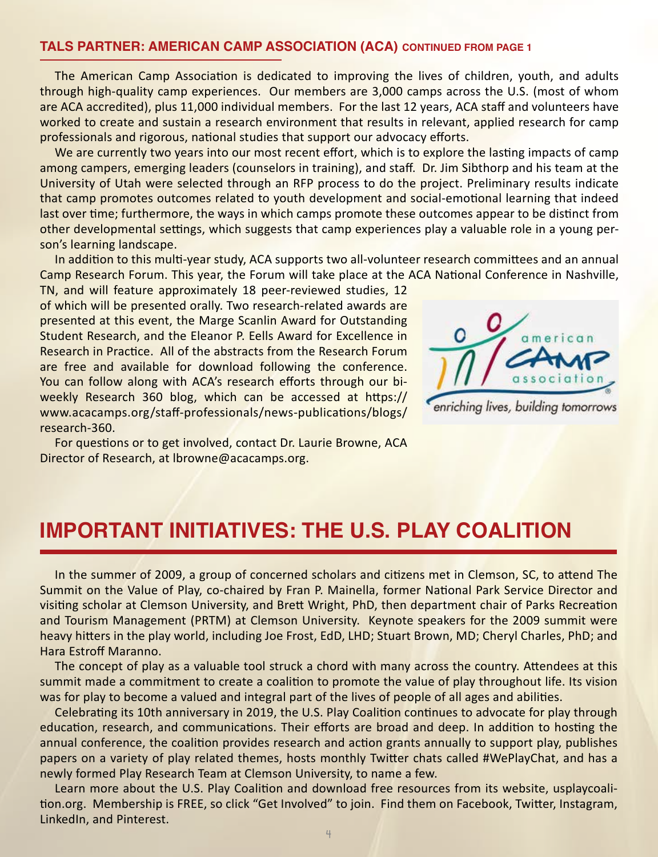#### **TALS PARTNER: AMERICAN CAMP ASSOCIATION (ACA) CONTINUED FROM PAGE 1**

The American Camp Association is dedicated to improving the lives of children, youth, and adults through high-quality camp experiences. Our members are 3,000 camps across the U.S. (most of whom are ACA accredited), plus 11,000 individual members. For the last 12 years, ACA staff and volunteers have worked to create and sustain a research environment that results in relevant, applied research for camp professionals and rigorous, national studies that support our advocacy efforts.

We are currently two years into our most recent effort, which is to explore the lasting impacts of camp among campers, emerging leaders (counselors in training), and staff. Dr. Jim Sibthorp and his team at the University of Utah were selected through an RFP process to do the project. Preliminary results indicate that camp promotes outcomes related to youth development and social-emotional learning that indeed last over time; furthermore, the ways in which camps promote these outcomes appear to be distinct from other developmental settings, which suggests that camp experiences play a valuable role in a young person's learning landscape.

In addition to this multi-year study, ACA supports two all-volunteer research committees and an annual Camp Research Forum. This year, the Forum will take place at the ACA National Conference in Nashville,

TN, and will feature approximately 18 peer-reviewed studies, 12 of which will be presented orally. Two research-related awards are presented at this event, the Marge Scanlin Award for Outstanding Student Research, and the Eleanor P. Eells Award for Excellence in Research in Practice. All of the abstracts from the Research Forum are free and available for download following the conference. You can follow along with ACA's research efforts through our biweekly Research 360 blog, which can be accessed at https:// www.acacamps.org/staff-professionals/news-publications/blogs/ research-360.



enriching lives, building tomorrows

For questions or to get involved, contact Dr. Laurie Browne, ACA Director of Research, at lbrowne@acacamps.org.

### **IMPORTANT INITIATIVES: THE U.S. PLAY COALITION**

In the summer of 2009, a group of concerned scholars and citizens met in Clemson, SC, to attend The Summit on the Value of Play, co-chaired by Fran P. Mainella, former National Park Service Director and visiting scholar at Clemson University, and Brett Wright, PhD, then department chair of Parks Recreation and Tourism Management (PRTM) at Clemson University. Keynote speakers for the 2009 summit were heavy hitters in the play world, including Joe Frost, EdD, LHD; Stuart Brown, MD; Cheryl Charles, PhD; and Hara Estroff Maranno.

The concept of play as a valuable tool struck a chord with many across the country. Attendees at this summit made a commitment to create a coalition to promote the value of play throughout life. Its vision was for play to become a valued and integral part of the lives of people of all ages and abilities.

Celebrating its 10th anniversary in 2019, the U.S. Play Coalition continues to advocate for play through education, research, and communications. Their efforts are broad and deep. In addition to hosting the annual conference, the coalition provides research and action grants annually to support play, publishes papers on a variety of play related themes, hosts monthly Twitter chats called #WePlayChat, and has a newly formed Play Research Team at Clemson University, to name a few.

Learn more about the U.S. Play Coalition and download free resources from its website, usplaycoalition.org. Membership is FREE, so click "Get Involved" to join. Find them on Facebook, Twitter, Instagram, LinkedIn, and Pinterest.